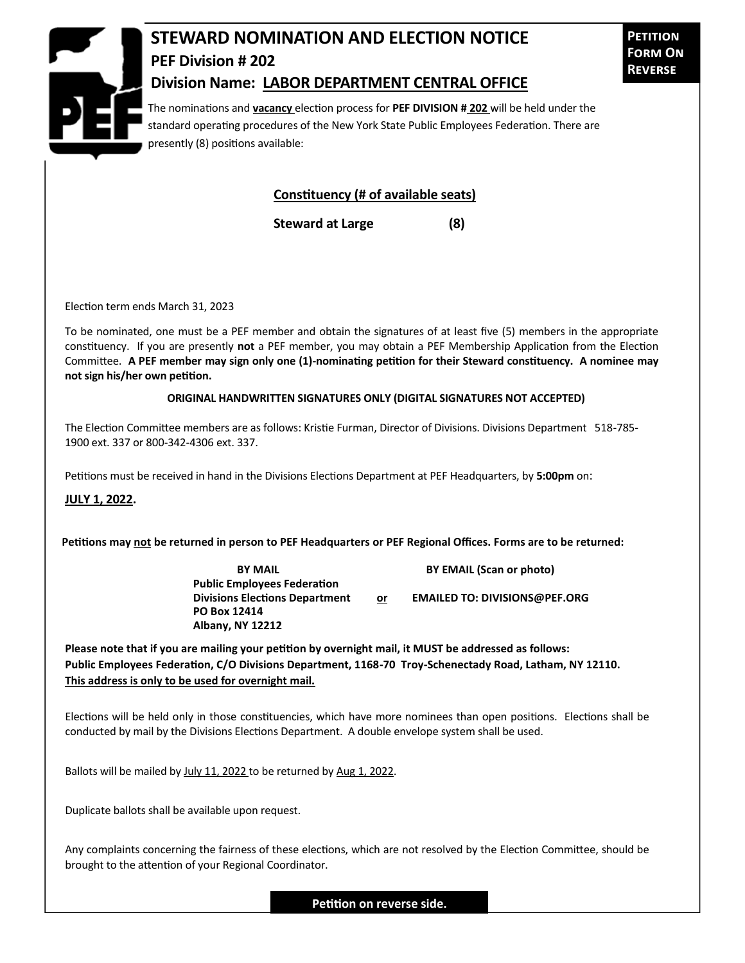

## **STEWARD NOMINATION AND ELECTION NOTICE PEF Division # 202 Division Name: LABOR DEPARTMENT CENTRAL OFFICE**

**Petition Form On Reverse**

The nominations and **vacancy** election process for **PEF DIVISION # 202** will be held under the standard operating procedures of the New York State Public Employees Federation. There are presently (8) positions available:

## **Constituency (# of available seats)**

**Steward at Large (8)**

Election term ends March 31, 2023

To be nominated, one must be a PEF member and obtain the signatures of at least five (5) members in the appropriate constituency. If you are presently **not** a PEF member, you may obtain a PEF Membership Application from the Election Committee. **A PEF member may sign only one (1)-nominating petition for their Steward constituency. A nominee may not sign his/her own petition.**

## **ORIGINAL HANDWRITTEN SIGNATURES ONLY (DIGITAL SIGNATURES NOT ACCEPTED)**

The Election Committee members are as follows: Kristie Furman, Director of Divisions. Divisions Department 518-785- 1900 ext. 337 or 800-342-4306 ext. 337.

Petitions must be received in hand in the Divisions Elections Department at PEF Headquarters, by **5:00pm** on:

**JULY 1, 2022.**

**Petitions may not be returned in person to PEF Headquarters or PEF Regional Offices. Forms are to be returned:**

**Public Employees Federation PO Box 12414 Albany, NY 12212**

**BY MAIL BY EMAIL (Scan or photo)** 

**Divisions Elections Department or EMAILED TO: DIVISIONS@PEF.ORG**

**Please note that if you are mailing your petition by overnight mail, it MUST be addressed as follows: Public Employees Federation, C/O Divisions Department, 1168-70 Troy-Schenectady Road, Latham, NY 12110. This address is only to be used for overnight mail.**

Elections will be held only in those constituencies, which have more nominees than open positions. Elections shall be conducted by mail by the Divisions Elections Department. A double envelope system shall be used.

Ballots will be mailed by July 11, 2022 to be returned by Aug 1, 2022.

Duplicate ballots shall be available upon request.

Any complaints concerning the fairness of these elections, which are not resolved by the Election Committee, should be brought to the attention of your Regional Coordinator.

**Petition on reverse side.**